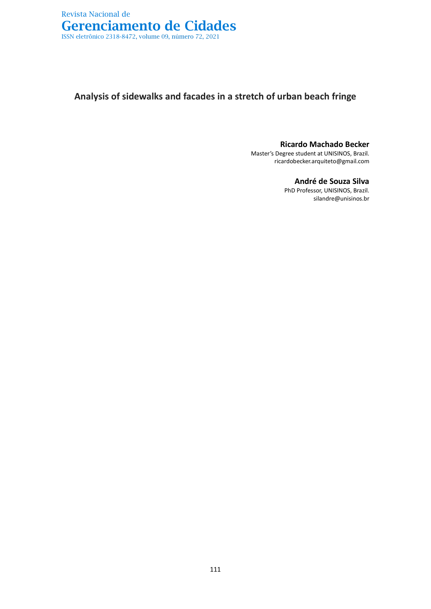# **Analysis of sidewalks and facades in a stretch of urban beach fringe**

#### **Ricardo Machado Becker**

Master's Degree student at UNISINOS, Brazil. ricardobecker.arquiteto@gmail.com

### **André de Souza Silva**

PhD Professor, UNISINOS, Brazil. silandre@unisinos.br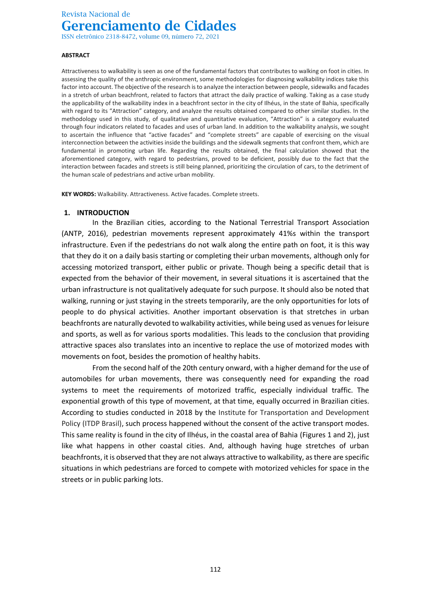ISSN eletrônico 2318-8472, volume 09, número 72, 2021

#### **ABSTRACT**

Attractiveness to walkability is seen as one of the fundamental factors that contributes to walking on foot in cities. In assessing the quality of the anthropic environment, some methodologies for diagnosing walkability indices take this factor into account. The objective of the research is to analyze the interaction between people, sidewalks and facades in a stretch of urban beachfront, related to factors that attract the daily practice of walking. Taking as a case study the applicability of the walkability index in a beachfront sector in the city of Ilhéus, in the state of Bahia, specifically with regard to its "Attraction" category, and analyze the results obtained compared to other similar studies. In the methodology used in this study, of qualitative and quantitative evaluation, "Attraction" is a category evaluated through four indicators related to facades and uses of urban land. In addition to the walkability analysis, we sought to ascertain the influence that "active facades" and "complete streets" are capable of exercising on the visual interconnection between the activities inside the buildings and the sidewalk segments that confront them, which are fundamental in promoting urban life. Regarding the results obtained, the final calculation showed that the aforementioned category, with regard to pedestrians, proved to be deficient, possibly due to the fact that the interaction between facades and streets is still being planned, prioritizing the circulation of cars, to the detriment of the human scale of pedestrians and active urban mobility.

**KEY WORDS:** Walkability. Attractiveness. Active facades. Complete streets.

#### **1. INTRODUCTION**

In the Brazilian cities, according to the National Terrestrial Transport Association (ANTP, 2016), pedestrian movements represent approximately 41%s within the transport infrastructure. Even if the pedestrians do not walk along the entire path on foot, it is this way that they do it on a daily basis starting or completing their urban movements, although only for accessing motorized transport, either public or private. Though being a specific detail that is expected from the behavior of their movement, in several situations it is ascertained that the urban infrastructure is not qualitatively adequate for such purpose. It should also be noted that walking, running or just staying in the streets temporarily, are the only opportunities for lots of people to do physical activities. Another important observation is that stretches in urban beachfronts are naturally devoted to walkability activities, while being used as venues for leisure and sports, as well as for various sports modalities. This leads to the conclusion that providing attractive spaces also translates into an incentive to replace the use of motorized modes with movements on foot, besides the promotion of healthy habits.

From the second half of the 20th century onward, with a higher demand for the use of automobiles for urban movements, there was consequently need for expanding the road systems to meet the requirements of motorized traffic, especially individual traffic. The exponential growth of this type of movement, at that time, equally occurred in Brazilian cities. According to studies conducted in 2018 by the Institute for Transportation and Development Policy (ITDP Brasil), such process happened without the consent of the active transport modes. This same reality is found in the city of Ilhéus, in the coastal area of Bahia (Figures 1 and 2), just like what happens in other coastal cities. And, although having huge stretches of urban beachfronts, it is observed that they are not always attractive to walkability, as there are specific situations in which pedestrians are forced to compete with motorized vehicles for space in the streets or in public parking lots.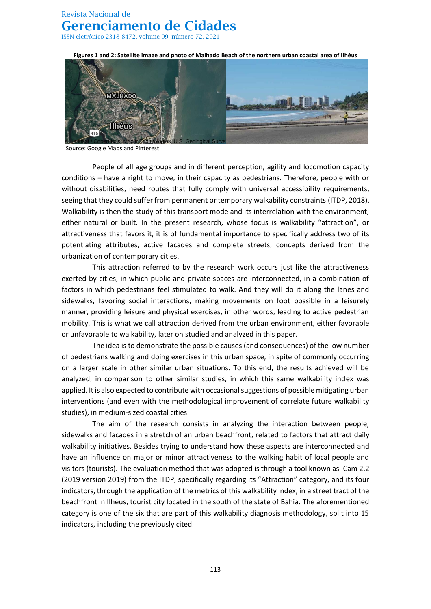**Figures 1 and 2: Satellite image and photo of Malhado Beach of the northern urban coastal area of Ilhéus** 



Source: Google Maps and Pinterest

People of all age groups and in different perception, agility and locomotion capacity conditions – have a right to move, in their capacity as pedestrians. Therefore, people with or without disabilities, need routes that fully comply with universal accessibility requirements, seeing that they could suffer from permanent or temporary walkability constraints (ITDP, 2018). Walkability is then the study of this transport mode and its interrelation with the environment, either natural or built. In the present research, whose focus is walkability "attraction", or attractiveness that favors it, it is of fundamental importance to specifically address two of its potentiating attributes, active facades and complete streets, concepts derived from the urbanization of contemporary cities.

This attraction referred to by the research work occurs just like the attractiveness exerted by cities, in which public and private spaces are interconnected, in a combination of factors in which pedestrians feel stimulated to walk. And they will do it along the lanes and sidewalks, favoring social interactions, making movements on foot possible in a leisurely manner, providing leisure and physical exercises, in other words, leading to active pedestrian mobility. This is what we call attraction derived from the urban environment, either favorable or unfavorable to walkability, later on studied and analyzed in this paper.

The idea is to demonstrate the possible causes (and consequences) of the low number of pedestrians walking and doing exercises in this urban space, in spite of commonly occurring on a larger scale in other similar urban situations. To this end, the results achieved will be analyzed, in comparison to other similar studies, in which this same walkability index was applied. It is also expected to contribute with occasional suggestions of possible mitigating urban interventions (and even with the methodological improvement of correlate future walkability studies), in medium-sized coastal cities.

The aim of the research consists in analyzing the interaction between people, sidewalks and facades in a stretch of an urban beachfront, related to factors that attract daily walkability initiatives. Besides trying to understand how these aspects are interconnected and have an influence on major or minor attractiveness to the walking habit of local people and visitors (tourists). The evaluation method that was adopted is through a tool known as iCam 2.2 (2019 version 2019) from the ITDP, specifically regarding its "Attraction" category, and its four indicators, through the application of the metrics of this walkability index, in a street tract of the beachfront in Ilhéus, tourist city located in the south of the state of Bahia. The aforementioned category is one of the six that are part of this walkability diagnosis methodology, split into 15 indicators, including the previously cited.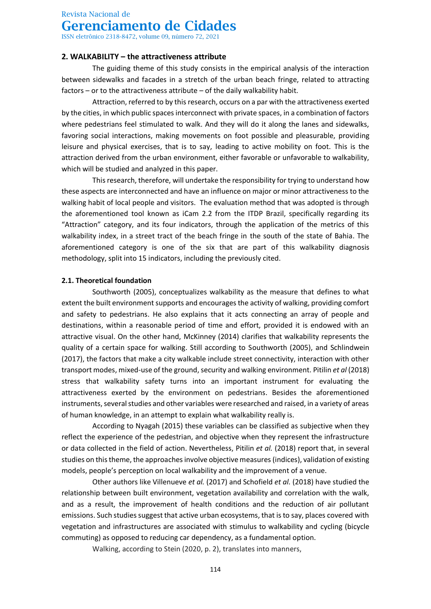ISSN eletrônico 2318-8472, volume 09, número 72, 2021

#### **2. WALKABILITY – the attractiveness attribute**

The guiding theme of this study consists in the empirical analysis of the interaction between sidewalks and facades in a stretch of the urban beach fringe, related to attracting factors – or to the attractiveness attribute – of the daily walkability habit.

Attraction, referred to by thisresearch, occurs on a par with the attractiveness exerted by the cities, in which public spaces interconnect with private spaces, in a combination of factors where pedestrians feel stimulated to walk. And they will do it along the lanes and sidewalks, favoring social interactions, making movements on foot possible and pleasurable, providing leisure and physical exercises, that is to say, leading to active mobility on foot. This is the attraction derived from the urban environment, either favorable or unfavorable to walkability, which will be studied and analyzed in this paper.

This research, therefore, will undertake the responsibility for trying to understand how these aspects are interconnected and have an influence on major or minor attractiveness to the walking habit of local people and visitors. The evaluation method that was adopted is through the aforementioned tool known as iCam 2.2 from the ITDP Brazil, specifically regarding its "Attraction" category, and its four indicators, through the application of the metrics of this walkability index, in a street tract of the beach fringe in the south of the state of Bahia. The aforementioned category is one of the six that are part of this walkability diagnosis methodology, split into 15 indicators, including the previously cited.

#### **2.1. Theoretical foundation**

Southworth (2005), conceptualizes walkability as the measure that defines to what extent the built environment supports and encourages the activity of walking, providing comfort and safety to pedestrians. He also explains that it acts connecting an array of people and destinations, within a reasonable period of time and effort, provided it is endowed with an attractive visual. On the other hand, McKinney (2014) clarifies that walkability represents the quality of a certain space for walking. Still according to Southworth (2005), and Schlindwein (2017), the factors that make a city walkable include street connectivity, interaction with other transport modes, mixed-use of the ground, security and walking environment. Pitilin *et al* (2018) stress that walkability safety turns into an important instrument for evaluating the attractiveness exerted by the environment on pedestrians. Besides the aforementioned instruments, several studies and other variables were researched and raised, in a variety of areas of human knowledge, in an attempt to explain what walkability really is.

According to Nyagah (2015) these variables can be classified as subjective when they reflect the experience of the pedestrian, and objective when they represent the infrastructure or data collected in the field of action. Nevertheless, Pitilin *et al.* (2018) report that, in several studies on this theme, the approaches involve objective measures (indices), validation of existing models, people's perception on local walkability and the improvement of a venue.

Other authors like Villenueve *et al.* (2017) and [Schofield](http://orcid.org/0000-0002-9109-7674) *et al.* (2018) have studied the relationship between built environment, vegetation availability and correlation with the walk, and as a result, the improvement of health conditions and the reduction of air pollutant emissions. Such studies suggest that active urban ecosystems, that is to say, places covered with vegetation and infrastructures are associated with stimulus to walkability and cycling (bicycle commuting) as opposed to reducing car dependency, as a fundamental option.

Walking, according to Stein (2020, p. 2), translates into manners,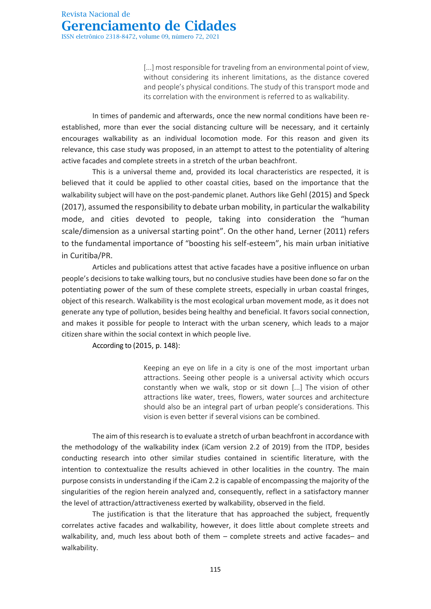[...] most responsible for traveling from an environmental point of view, without considering its inherent limitations, as the distance covered and people's physical conditions. The study of this transport mode and its correlation with the environment is referred to as walkability.

In times of pandemic and afterwards, once the new normal conditions have been reestablished, more than ever the social distancing culture will be necessary, and it certainly encourages walkability as an individual locomotion mode. For this reason and given its relevance, this case study was proposed, in an attempt to attest to the potentiality of altering active facades and complete streets in a stretch of the urban beachfront.

This is a universal theme and, provided its local characteristics are respected, it is believed that it could be applied to other coastal cities, based on the importance that the walkability subject will have on the post-pandemic planet. Authors like Gehl (2015) and Speck (2017), assumed the responsibility to debate urban mobility, in particular the walkability mode, and cities devoted to people, taking into consideration the "human scale/dimension as a universal starting point". On the other hand, Lerner (2011) refers to the fundamental importance of "boosting his self-esteem", his main urban initiative in Curitiba/PR.

Articles and publications attest that active facades have a positive influence on urban people's decisions to take walking tours, but no conclusive studies have been done so far on the potentiating power of the sum of these complete streets, especially in urban coastal fringes, object of this research. Walkability is the most ecological urban movement mode, as it does not generate any type of pollution, besides being healthy and beneficial. It favors social connection, and makes it possible for people to Interact with the urban scenery, which leads to a major citizen share within the social context in which people live.

According to (2015, p. 148):

Keeping an eye on life in a city is one of the most important urban attractions. Seeing other people is a universal activity which occurs constantly when we walk, stop or sit down [...] The vision of other attractions like water, trees, flowers, water sources and architecture should also be an integral part of urban people's considerations. This vision is even better if several visions can be combined.

The aim of this research is to evaluate a stretch of urban beachfrontin accordance with the methodology of the walkability index (iCam version 2.2 of 2019) from the ITDP, besides conducting research into other similar studies contained in scientific literature, with the intention to contextualize the results achieved in other localities in the country. The main purpose consists in understanding if the iCam 2.2 is capable of encompassing the majority of the singularities of the region herein analyzed and, consequently, reflect in a satisfactory manner the level of attraction/attractiveness exerted by walkability, observed in the field.

The justification is that the literature that has approached the subject, frequently correlates active facades and walkability, however, it does little about complete streets and walkability, and, much less about both of them – complete streets and active facades– and walkability.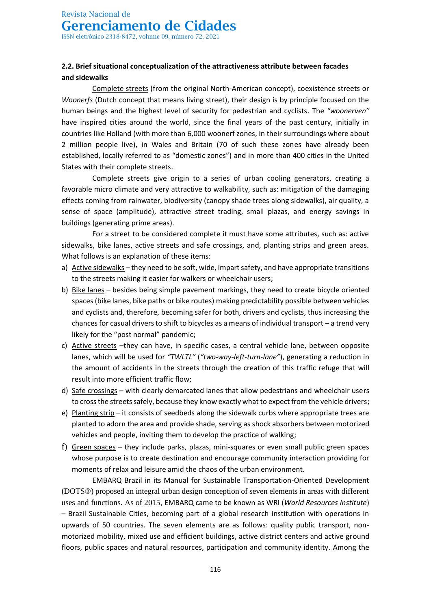### **2.2. Brief situational conceptualization of the attractiveness attribute between facades and sidewalks**

Complete streets (from the original North-American concept), coexistence streets or *Woonerfs* (Dutch concept that means living street), their design is by principle focused on the human beings and the highest level of security for pedestrian and cyclists. The *"woonerven"* have inspired cities around the world, since the final years of the past century, initially in countries like Holland (with more than 6,000 woonerf zones, in their surroundings where about 2 million people live), in Wales and Britain (70 of such these zones have already been established, locally referred to as "domestic zones") and in more than 400 cities in the United States with their complete streets.

Complete streets give origin to a series of urban cooling generators, creating a favorable micro climate and very attractive to walkability, such as: mitigation of the damaging effects coming from rainwater, biodiversity (canopy shade trees along sidewalks), air quality, a sense of space (amplitude), attractive street trading, small plazas, and energy savings in buildings (generating prime areas).

For a street to be considered complete it must have some attributes, such as: active sidewalks, bike lanes, active streets and safe crossings, and, planting strips and green areas. What follows is an explanation of these items:

- a) Active sidewalks they need to be soft, wide, impart safety, and have appropriate transitions to the streets making it easier for walkers or wheelchair users;
- b) Bike lanes besides being simple pavement markings, they need to create bicycle oriented spaces(bike lanes, bike paths or bike routes) making predictability possible between vehicles and cyclists and, therefore, becoming safer for both, drivers and cyclists, thus increasing the chances for casual drivers to shift to bicycles as a means of individual transport – a trend very likely for the "post normal" pandemic;
- c) Active streets –they can have, in specific cases, a central vehicle lane, between opposite lanes, which will be used for *"TWLTL"* (*"two-way-left-turn-lane"*), generating a reduction in the amount of accidents in the streets through the creation of this traffic refuge that will result into more efficient traffic flow;
- d) Safe crossings with clearly demarcated lanes that allow pedestrians and wheelchair users to cross the streets safely, because they know exactly what to expect from the vehicle drivers;
- e) Planting strip it consists of seedbeds along the sidewalk curbs where appropriate trees are planted to adorn the area and provide shade, serving as shock absorbers between motorized vehicles and people, inviting them to develop the practice of walking;
- f) Green spaces they include parks, plazas, mini-squares or even small public green spaces whose purpose is to create destination and encourage community interaction providing for moments of relax and leisure amid the chaos of the urban environment.

EMBARQ Brazil in its Manual for Sustainable Transportation-Oriented Development (DOTS®) proposed an integral urban design conception of seven elements in areas with different uses and functions. As of 2015, EMBARQ came to be known as WRI (*World Resources Institute*) – Brazil Sustainable Cities, becoming part of a global research institution with operations in upwards of 50 countries. The seven elements are as follows: quality public transport, nonmotorized mobility, mixed use and efficient buildings, active district centers and active ground floors, public spaces and natural resources, participation and community identity. Among the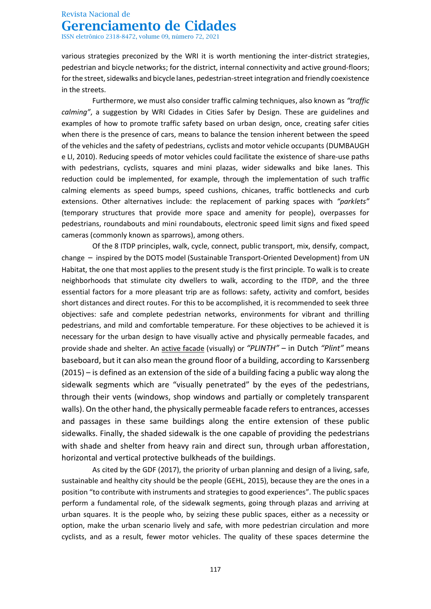ISSN eletrônico 2318-8472, volume 09, número 72, 2021

various strategies preconized by the WRI it is worth mentioning the inter-district strategies, pedestrian and bicycle networks; for the district, internal connectivity and active ground-floors; for the street, sidewalks and bicycle lanes, pedestrian-street integration and friendly coexistence in the streets.

Furthermore, we must also consider traffic calming techniques, also known as *"traffic calming"*, a suggestion by WRI Cidades in Cities Safer by Design. These are guidelines and examples of how to promote traffic safety based on urban design, once, creating safer cities when there is the presence of cars, means to balance the tension inherent between the speed of the vehicles and the safety of pedestrians, cyclists and motor vehicle occupants (DUMBAUGH e LI, 2010). Reducing speeds of motor vehicles could facilitate the existence of share-use paths with pedestrians, cyclists, squares and mini plazas, wider sidewalks and bike lanes. This reduction could be implemented, for example, through the implementation of such traffic calming elements as speed bumps, speed cushions, chicanes, traffic bottlenecks and curb extensions. Other alternatives include: the replacement of parking spaces with *"parklets"*  (temporary structures that provide more space and amenity for people), overpasses for pedestrians, roundabouts and mini roundabouts, electronic speed limit signs and fixed speed cameras (commonly known as sparrows), among others.

Of the 8 ITDP principles, walk, cycle, connect, public transport, mix, densify, compact, change – inspired by the DOTS model (Sustainable Transport-Oriented Development) from UN Habitat, the one that most applies to the present study is the first principle. To walk is to create neighborhoods that stimulate city dwellers to walk, according to the ITDP, and the three essential factors for a more pleasant trip are as follows: safety, activity and comfort, besides short distances and direct routes. For this to be accomplished, it is recommended to seek three objectives: safe and complete pedestrian networks, environments for vibrant and thrilling pedestrians, and mild and comfortable temperature. For these objectives to be achieved it is necessary for the urban design to have visually active and physically permeable facades, and provide shade and shelter. An active facade (visually) or *"PLINTH"* – in Dutch *"Plint"* means baseboard, but it can also mean the ground floor of a building, according to Karssenberg (2015) – is defined as an extension of the side of a building facing a public way along the sidewalk segments which are "visually penetrated" by the eyes of the pedestrians, through their vents (windows, shop windows and partially or completely transparent walls). On the other hand, the physically permeable facade refers to entrances, accesses and passages in these same buildings along the entire extension of these public sidewalks. Finally, the shaded sidewalk is the one capable of providing the pedestrians with shade and shelter from heavy rain and direct sun, through urban afforestation, horizontal and vertical protective bulkheads of the buildings.

As cited by the GDF (2017), the priority of urban planning and design of a living, safe, sustainable and healthy city should be the people (GEHL, 2015), because they are the ones in a position "to contribute with instruments and strategies to good experiences". The public spaces perform a fundamental role, of the sidewalk segments, going through plazas and arriving at urban squares. It is the people who, by seizing these public spaces, either as a necessity or option, make the urban scenario lively and safe, with more pedestrian circulation and more cyclists, and as a result, fewer motor vehicles. The quality of these spaces determine the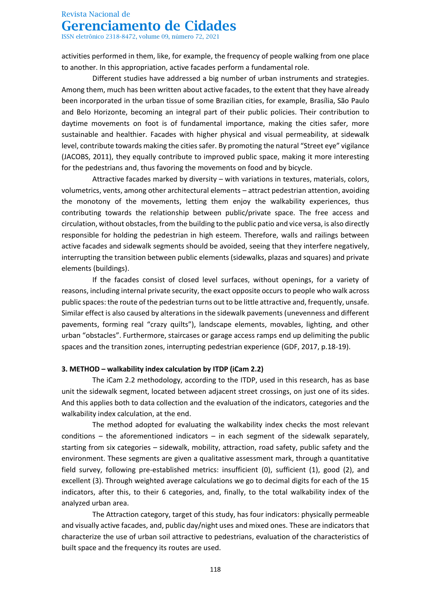ISSN eletrônico 2318-8472, volume 09, número 72, 2021

activities performed in them, like, for example, the frequency of people walking from one place to another. In this appropriation, active facades perform a fundamental role.

Different studies have addressed a big number of urban instruments and strategies. Among them, much has been written about active facades, to the extent that they have already been incorporated in the urban tissue of some Brazilian cities, for example, Brasília, São Paulo and Belo Horizonte, becoming an integral part of their public policies. Their contribution to daytime movements on foot is of fundamental importance, making the cities safer, more sustainable and healthier. Facades with higher physical and visual permeability, at sidewalk level, contribute towards making the cities safer. By promoting the natural "Street eye" vigilance (JACOBS, 2011), they equally contribute to improved public space, making it more interesting for the pedestrians and, thus favoring the movements on food and by bicycle.

Attractive facades marked by diversity – with variations in textures, materials, colors, volumetrics, vents, among other architectural elements – attract pedestrian attention, avoiding the monotony of the movements, letting them enjoy the walkability experiences, thus contributing towards the relationship between public/private space. The free access and circulation, without obstacles, from the building to the public patio and vice versa, is also directly responsible for holding the pedestrian in high esteem. Therefore, walls and railings between active facades and sidewalk segments should be avoided, seeing that they interfere negatively, interrupting the transition between public elements (sidewalks, plazas and squares) and private elements (buildings).

If the facades consist of closed level surfaces, without openings, for a variety of reasons, including internal private security, the exact opposite occurs to people who walk across public spaces: the route of the pedestrian turns out to be little attractive and, frequently, unsafe. Similar effect is also caused by alterations in the sidewalk pavements (unevenness and different pavements, forming real "crazy quilts"), landscape elements, movables, lighting, and other urban "obstacles". Furthermore, staircases or garage access ramps end up delimiting the public spaces and the transition zones, interrupting pedestrian experience (GDF, 2017, p.18-19).

#### **3. METHOD – walkability index calculation by ITDP (iCam 2.2)**

The iCam 2.2 methodology, according to the ITDP, used in this research, has as base unit the sidewalk segment, located between adjacent street crossings, on just one of its sides. And this applies both to data collection and the evaluation of the indicators, categories and the walkability index calculation, at the end.

The method adopted for evaluating the walkability index checks the most relevant  $conditions - the aforementioned indicators - in each segment of the sideways separately,$ starting from six categories – sidewalk, mobility, attraction, road safety, public safety and the environment. These segments are given a qualitative assessment mark, through a quantitative field survey, following pre-established metrics: insufficient (0), sufficient (1), good (2), and excellent (3). Through weighted average calculations we go to decimal digits for each of the 15 indicators, after this, to their 6 categories, and, finally, to the total walkability index of the analyzed urban area.

The Attraction category, target of this study, has four indicators: physically permeable and visually active facades, and, public day/night uses and mixed ones. These are indicators that characterize the use of urban soil attractive to pedestrians, evaluation of the characteristics of built space and the frequency its routes are used.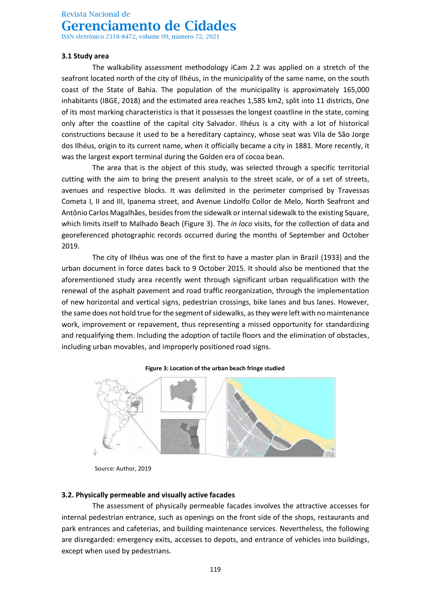ISSN eletrônico 2318-8472, volume 09, número 72, 2021

#### **3.1 Study area**

The walkability assessment methodology iCam 2.2 was applied on a stretch of the seafront located north of the city of Ilhéus, in the municipality of the same name, on the south coast of the State of Bahia. The population of the municipality is approximately 165,000 inhabitants (IBGE, 2018) and the estimated area reaches 1,585 km2, split into 11 districts, One of its most marking characteristics is that it possesses the longest coastline in the state, coming only after the coastline of the capital city Salvador. Ilhéus is a city with a lot of historical constructions because it used to be a hereditary captaincy, whose seat was Vila de São Jorge dos Ilhéus, origin to its current name, when it officially became a city in 1881. More recently, it was the largest export terminal during the Golden era of cocoa bean.

The area that is the object of this study, was selected through a specific territorial cutting with the aim to bring the present analysis to the street scale, or of a set of streets, avenues and respective blocks. It was delimited in the perimeter comprised by Travessas Cometa I, II and III, Ipanema street, and Avenue Lindolfo Collor de Melo, North Seafront and Antônio Carlos Magalhães, besides from the sidewalk or internal sidewalk to the existing Square, which limits itself to Malhado Beach (Figure 3). The *in loco* visits, for the collection of data and georeferenced photographic records occurred during the months of September and October 2019.

The city of Ilhéus was one of the first to have a master plan in Brazil (1933) and the urban document in force dates back to 9 October 2015. It should also be mentioned that the aforementioned study area recently went through significant urban requalification with the renewal of the asphalt pavement and road traffic reorganization, through the implementation of new horizontal and vertical signs, pedestrian crossings, bike lanes and bus lanes. However, the same does not hold true for the segment of sidewalks, as they were left with no maintenance work, improvement or repavement, thus representing a missed opportunity for standardizing and requalifying them. Including the adoption of tactile floors and the elimination of obstacles, including urban movables, and improperly positioned road signs.



Source: Author, 2019

#### **3.2. Physically permeable and visually active facades**

The assessment of physically permeable facades involves the attractive accesses for internal pedestrian entrance, such as openings on the front side of the shops, restaurants and park entrances and cafeterias, and building maintenance services. Nevertheless, the following are disregarded: emergency exits, accesses to depots, and entrance of vehicles into buildings, except when used by pedestrians.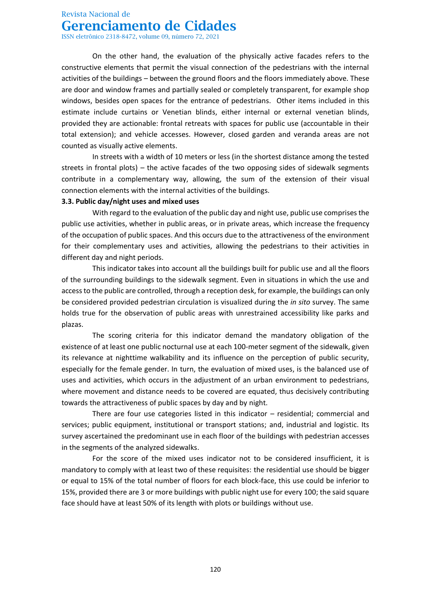ISSN eletrônico 2318-8472, volume 09, número 72, 2021

On the other hand, the evaluation of the physically active facades refers to the constructive elements that permit the visual connection of the pedestrians with the internal activities of the buildings – between the ground floors and the floors immediately above. These are door and window frames and partially sealed or completely transparent, for example shop windows, besides open spaces for the entrance of pedestrians. Other items included in this estimate include curtains or Venetian blinds, either internal or external venetian blinds, provided they are actionable: frontal retreats with spaces for public use (accountable in their total extension); and vehicle accesses. However, closed garden and veranda areas are not counted as visually active elements.

In streets with a width of 10 meters or less (in the shortest distance among the tested streets in frontal plots) – the active facades of the two opposing sides of sidewalk segments contribute in a complementary way, allowing, the sum of the extension of their visual connection elements with the internal activities of the buildings.

#### **3.3. Public day/night uses and mixed uses**

With regard to the evaluation of the public day and night use, public use comprises the public use activities, whether in public areas, or in private areas, which increase the frequency of the occupation of public spaces. And this occurs due to the attractiveness of the environment for their complementary uses and activities, allowing the pedestrians to their activities in different day and night periods.

This indicator takes into account all the buildings built for public use and all the floors of the surrounding buildings to the sidewalk segment. Even in situations in which the use and access to the public are controlled, through a reception desk, for example, the buildings can only be considered provided pedestrian circulation is visualized during the *in sito* survey. The same holds true for the observation of public areas with unrestrained accessibility like parks and plazas.

The scoring criteria for this indicator demand the mandatory obligation of the existence of at least one public nocturnal use at each 100-meter segment of the sidewalk, given its relevance at nighttime walkability and its influence on the perception of public security, especially for the female gender. In turn, the evaluation of mixed uses, is the balanced use of uses and activities, which occurs in the adjustment of an urban environment to pedestrians, where movement and distance needs to be covered are equated, thus decisively contributing towards the attractiveness of public spaces by day and by night.

There are four use categories listed in this indicator – residential; commercial and services; public equipment, institutional or transport stations; and, industrial and logistic. Its survey ascertained the predominant use in each floor of the buildings with pedestrian accesses in the segments of the analyzed sidewalks.

For the score of the mixed uses indicator not to be considered insufficient, it is mandatory to comply with at least two of these requisites: the residential use should be bigger or equal to 15% of the total number of floors for each block-face, this use could be inferior to 15%, provided there are 3 or more buildings with public night use for every 100; the said square face should have at least 50% of its length with plots or buildings without use.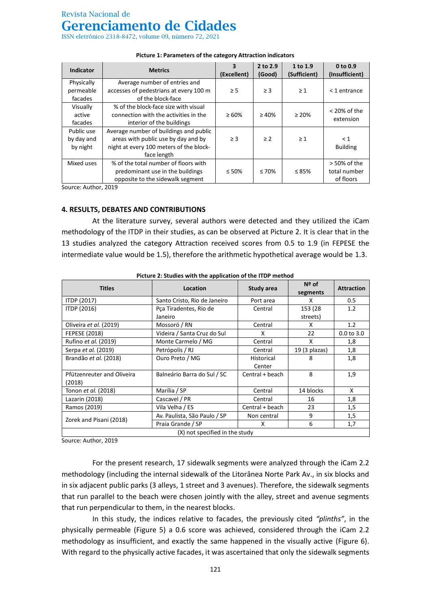ISSN eletrônico 2318-8472, volume 09, número 72, 2021

| Indicator                            | <b>Metrics</b>                                                                                                                          | 3<br>(Excellent) | 2 to 2.9<br>(Good) | 1 to 1.9<br>(Sufficient) | 0 <sub>to</sub> 0.9<br>(Insufficient)        |
|--------------------------------------|-----------------------------------------------------------------------------------------------------------------------------------------|------------------|--------------------|--------------------------|----------------------------------------------|
| Physically<br>permeable<br>facades   | Average number of entries and<br>accesses of pedestrians at every 100 m<br>of the block-face                                            | $\geq$ 5         | $\geq$ 3           | $\geq 1$                 | $<$ 1 entrance                               |
| Visually<br>active<br>facades        | % of the block-face size with visual<br>connection with the activities in the<br>interior of the buildings                              | $\geq 60\%$      | $\geq 40\%$        | $\geq 20\%$              | $<$ 20% of the<br>extension                  |
| Public use<br>by day and<br>by night | Average number of buildings and public<br>areas with public use by day and by<br>night at every 100 meters of the block-<br>face length | $\geq$ 3         | $\geq$ 2           | $\geq 1$                 | $\leq 1$<br><b>Building</b>                  |
| Mixed uses                           | % of the total number of floors with<br>predominant use in the buildings<br>opposite to the sidewalk segment                            | $\leq 50\%$      | $\leq 70\%$        | $\leq$ 85%               | $> 50\%$ of the<br>total number<br>of floors |

#### **Picture 1: Parameters of the category Attraction indicators**

Source: Author, 2019

#### **4. RESULTS, DEBATES AND CONTRIBUTIONS**

At the literature survey, several authors were detected and they utilized the iCam methodology of the ITDP in their studies, as can be observed at Picture 2. It is clear that in the 13 studies analyzed the category Attraction received scores from 0.5 to 1.9 (in FEPESE the intermediate value would be 1.5), therefore the arithmetic hypothetical average would be 1.3.

| <b>Titles</b>                        | Location                          | Study area           | $N2$ of<br>segments  | <b>Attraction</b> |  |
|--------------------------------------|-----------------------------------|----------------------|----------------------|-------------------|--|
| <b>ITDP (2017)</b>                   | Santo Cristo, Rio de Janeiro      | Port area            | X                    | 0.5               |  |
| <b>ITDP (2016)</b>                   | Pça Tiradentes, Rio de<br>Janeiro | Central              | 153 (28)<br>streets) | 1.2               |  |
| Oliveira et al. (2019)               | Mossoró / RN                      | Central              | X                    | 1.2               |  |
| <b>FEPESE (2018)</b>                 | Videira / Santa Cruz do Sul       | X                    | 22                   | $0.0$ to $3.0$    |  |
| Rufino et al. (2019)                 | Monte Carmelo / MG                | Central              | X                    | 1,8               |  |
| Serpa et al. (2019)                  | Petrópolis / RJ                   | Central              | 19 (3 plazas)        | 1,8               |  |
| Brandão et al. (2018)                | Ouro Preto / MG                   | Historical<br>Center | 8                    | 1,8               |  |
| Pfützenreuter and Oliveira<br>(2018) | Balneário Barra do Sul / SC       | Central + beach      | 8                    | 1,9               |  |
| Tonon et al. (2018)                  | Marília / SP                      | Central              | 14 blocks            | X                 |  |
| Lazarin (2018)                       | Cascavel / PR                     | Central              | 16                   | 1,8               |  |
| Ramos (2019)                         | Vila Velha / ES                   | Central + beach      | 23                   | 1,5               |  |
|                                      | Av. Paulista, São Paulo / SP      | Non central          | 9                    | 1,5               |  |
| Zorek and Pisani (2018)              | Praia Grande / SP                 | X                    | 6                    | 1,7               |  |
|                                      | (X) not specified in the study    |                      |                      |                   |  |

**Picture 2: Studies with the application of the ITDP method**

Source: Author, 2019

For the present research, 17 sidewalk segments were analyzed through the iCam 2.2 methodology (including the internal sidewalk of the Litorânea Norte Park Av., in six blocks and in six adjacent public parks (3 alleys, 1 street and 3 avenues). Therefore, the sidewalk segments that run parallel to the beach were chosen jointly with the alley, street and avenue segments that run perpendicular to them, in the nearest blocks.

In this study, the indices relative to facades, the previously cited *"plinths"*, in the physically permeable (Figure 5) a 0.6 score was achieved, considered through the iCam 2.2 methodology as insufficient, and exactly the same happened in the visually active (Figure 6). With regard to the physically active facades, it was ascertained that only the sidewalk segments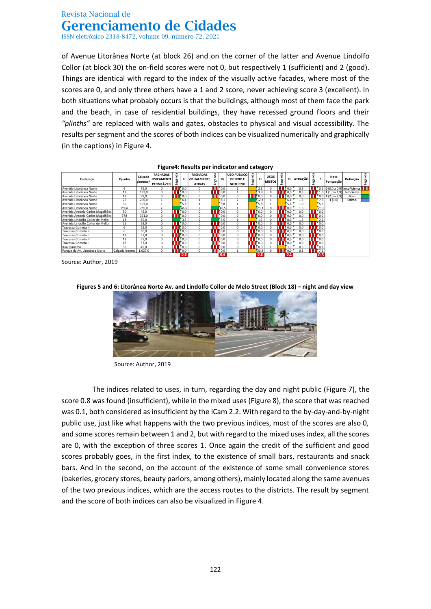ISSN eletrônico 2318-8472, volume 09, número 72, 2021

of Avenue Litorânea Norte (at block 26) and on the corner of the latter and Avenue Lindolfo Collor (at block 30) the on-field scores were not 0, but respectively 1 (sufficient) and 2 (good). Things are identical with regard to the index of the visually active facades, where most of the scores are 0, and only three others have a 1 and 2 score, never achieving score 3 (excellent). In both situations what probably occurs is that the buildings, although most of them face the park and the beach, in case of residential buildings, they have recessed ground floors and their *"plinths"* are replaced with walls and gates, obstacles to physical and visual accessibility. The results per segment and the scores of both indices can be visualized numerically and graphically (in the captions) in Figure 4.

| Endereco                         | Quadra          | Calcada<br>(metros) | <b>FACHADAS</b><br><b>FISICAMENTE</b><br><b>PERMEAVEIS</b> | 용<br>흻 |                         | <b>FACHADAS</b><br>Pi VISUALMENTE<br><b>ATIVAS</b> | 용<br>g, | Pi                      | USO PÚBLICO<br><b>DIURNO E</b><br><b>NOTURNO</b> | 용<br>gg | Pi   | <b>USOS</b><br><b>MISTOS</b> | 용<br>g, |                    | Pi ATRAÇÃO | 률<br>Legel | Ci         | Nota<br>Pontuação   | Definição                      | 199 |
|----------------------------------|-----------------|---------------------|------------------------------------------------------------|--------|-------------------------|----------------------------------------------------|---------|-------------------------|--------------------------------------------------|---------|------|------------------------------|---------|--------------------|------------|------------|------------|---------------------|--------------------------------|-----|
| Avenida Litorânea Norte          | 6               | 76.0                | 0                                                          |        | 0.0                     | <sup>0</sup>                                       |         | 0.0                     |                                                  |         | 2,3  | $\Omega$                     |         | 0.0                | 0.3        |            |            |                     | 0,6 0 (0,0 a 0,9) Insuficiente |     |
| Avenida Litorânea Norte          | 13              | 133.0               | 0                                                          |        | <b>10.0</b>             | $\Omega$                                           |         | 0.0                     |                                                  |         | 3.9  | $\Omega$                     |         | 0.0                | 0.3        |            |            | $1.0$ 1 (1.0 a 1.9) | <b>Suficiente</b>              |     |
| Avenida Litorânea Norte          | 18              | 99.0                | 0                                                          |        | 0,0                     | $\Omega$                                           |         | 0,0                     | 0                                                |         | 0,0  | $\Omega$                     |         | 0,0                | 0,0        | Ш          |            | $0,0$ 2 (2,0 a 2,9) | <b>Bom</b>                     |     |
| Avenida Litorânea Norte          | 26              | 205.0               | $\mathbf{1}$                                               |        | 6.1                     |                                                    |         | 6,1                     | $\overline{2}$                                   |         | 12,2 |                              |         | 6.1                | 1,3        |            | 7,6        | 3(3,0)              | Ótimo                          |     |
| Avenida Litorânea Norte          | 30              | 197.0               | 1                                                          |        | 5.8                     |                                                    |         | 5.8                     |                                                  |         | 5.8  |                              |         | 5.8                | 1.0        |            | 5.8        |                     |                                |     |
| Avenida Litorânea Norte          | Praia           | 785.0               | $\overline{2}$                                             |        | 46.5                    |                                                    |         | 46,5                    |                                                  |         | 23,3 | $\Omega$                     |         | 0.0                | 1,3        |            | 29,1       |                     |                                |     |
| Avenida Antonio Carlos Magalhães | 30              | 46,0                | 0                                                          |        | 0.0                     | $\Omega$                                           |         | 0.0                     | $\circ$                                          |         | 0.0  |                              |         | 0.0                | 0.0        | П          | 0,0        |                     |                                |     |
| Avenida Antonio Carlos Magalhães | 378             | 371.0               | 0                                                          |        | 0.0                     | $\Omega$                                           |         | 0.0                     | $\Omega$                                         | Ш       | 0.0  |                              |         | 0.0                | 0.0        |            | 0.0        |                     |                                |     |
| Avenida Lindolfo Collor de Mello | 18              | 59,0                | $\overline{a}$                                             |        | 3.5                     |                                                    |         | 3,5                     |                                                  |         | 1.7  |                              |         | 0.0                | 1,3        |            | 2,2        |                     |                                |     |
| Avenida Lindolfo Collor de Mello | 26              | 59.0                | 0                                                          |        | 0.0                     | $\Omega$                                           |         | 0.0                     | $\Omega$                                         |         | 0.0  |                              |         | 0.0                | 0.0        |            | 0.0        |                     |                                |     |
| Travessa Cometa II               | 6               | 52.0                | 0                                                          |        | 0.0                     | 0                                                  |         | 0.0                     | $\mathbf 0$                                      |         | 0.0  |                              |         | 0.0                | 0.0        |            | 0.0        |                     |                                |     |
| Travessa Cometa III              | 6               | 50.0                | 0                                                          |        | <b>F</b> 0.0            | $\Omega$                                           |         | $\Gamma$ <sub>0.0</sub> | $\circ$                                          |         | 0.0  |                              |         | 0.0                | 0.0        |            | 0,0        |                     |                                |     |
| Travessa Cometa I                | 13              | 57.0                | 0                                                          |        | 0.0                     | $\Omega$                                           |         | 0.0                     | $\circ$                                          |         | 0.0  |                              |         | 0.0                | 0.0        |            | $\sim$ 0.0 |                     |                                |     |
| Travessa Cometa II               | 13              | 55.0                | 0                                                          |        | $\Gamma$ <sub>0,0</sub> | 0                                                  |         | 0.0                     | $\mathbf 0$                                      |         | 0,0  |                              |         | 0.0                | 0,0        | Ш          | 0,0        |                     |                                |     |
| Travessa Cometa I                | 18              | 57.0                | 0                                                          |        | 0.0                     | 0                                                  |         | 0.0                     | $\mathbf 0$                                      |         | 0.0  |                              |         | $\blacksquare$ 0.0 | 0.0        |            | 0.0        |                     |                                |     |
| Rua Ipanema                      | 30              | 45,0                | 0                                                          |        | <b>r</b> 0.0            | $\Omega$                                           |         | 0.0                     | $\mathbf{0}$                                     |         | 0.0  |                              |         | 1.3                | 0,3        |            | 0,3        |                     |                                |     |
| Parque da Av. Litorânea Norte    | Calçada interna | 1.027,0             | 0                                                          |        | 0,0                     | $\Omega$                                           |         | 0,0                     |                                                  |         | 30,4 |                              |         | 0,0                | 0,3        |            | 7,6        |                     |                                |     |
|                                  |                 |                     |                                                            |        | 0,6                     |                                                    |         | 0,6                     |                                                  |         | 0,8  |                              |         | 0.1                |            |            | 0.5        |                     |                                |     |

**Figure4: Results per indicator and category**

Source: Author, 2019

**Figures 5 and 6: Litorânea Norte Av. and Lindolfo Collor de Melo Street (Block 18) – night and day view**



Source: Author, 2019

The indices related to uses, in turn, regarding the day and night public (Figure 7), the score 0.8 was found (insufficient), while in the mixed uses (Figure 8), the score that was reached was 0.1, both considered as insufficient by the iCam 2.2. With regard to the by-day-and-by-night public use, just like what happens with the two previous indices, most of the scores are also 0, and some scores remain between 1 and 2, but with regard to the mixed uses index, all the scores are 0, with the exception of three scores 1. Once again the credit of the sufficient and good scores probably goes, in the first index, to the existence of small bars, restaurants and snack bars. And in the second, on the account of the existence of some small convenience stores (bakeries, grocery stores, beauty parlors, among others), mainly located along the same avenues of the two previous indices, which are the access routes to the districts. The result by segment and the score of both indices can also be visualized in Figure 4.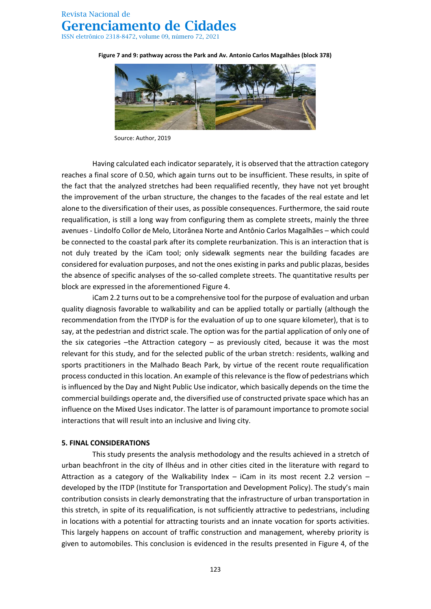**Figure 7 and 9: pathway across the Park and Av. Antonio Carlos Magalhâes (block 378)**

Source: Author, 2019

Having calculated each indicator separately, it is observed that the attraction category reaches a final score of 0.50, which again turns out to be insufficient. These results, in spite of the fact that the analyzed stretches had been requalified recently, they have not yet brought the improvement of the urban structure, the changes to the facades of the real estate and let alone to the diversification of their uses, as possible consequences. Furthermore, the said route requalification, is still a long way from configuring them as complete streets, mainly the three avenues - Lindolfo Collor de Melo, Litorânea Norte and Antônio Carlos Magalhães – which could be connected to the coastal park after its complete reurbanization. This is an interaction that is not duly treated by the iCam tool; only sidewalk segments near the building facades are considered for evaluation purposes, and not the ones existing in parks and public plazas, besides the absence of specific analyses of the so-called complete streets. The quantitative results per block are expressed in the aforementioned Figure 4.

iCam 2.2 turns out to be a comprehensive tool for the purpose of evaluation and urban quality diagnosis favorable to walkability and can be applied totally or partially (although the recommendation from the ITYDP is for the evaluation of up to one square kilometer), that is to say, at the pedestrian and district scale. The option was for the partial application of only one of the six categories –the Attraction category – as previously cited, because it was the most relevant for this study, and for the selected public of the urban stretch: residents, walking and sports practitioners in the Malhado Beach Park, by virtue of the recent route requalification process conducted in this location. An example of this relevance is the flow of pedestrians which is influenced by the Day and Night Public Use indicator, which basically depends on the time the commercial buildings operate and, the diversified use of constructed private space which has an influence on the Mixed Uses indicator. The latter is of paramount importance to promote social interactions that will result into an inclusive and living city.

#### **5. FINAL CONSIDERATIONS**

This study presents the analysis methodology and the results achieved in a stretch of urban beachfront in the city of Ilhéus and in other cities cited in the literature with regard to Attraction as a category of the Walkability Index  $-$  iCam in its most recent 2.2 version  $$ developed by the ITDP (Institute for Transportation and Development Policy). The study's main contribution consists in clearly demonstrating that the infrastructure of urban transportation in this stretch, in spite of its requalification, is not sufficiently attractive to pedestrians, including in locations with a potential for attracting tourists and an innate vocation for sports activities. This largely happens on account of traffic construction and management, whereby priority is given to automobiles. This conclusion is evidenced in the results presented in Figure 4, of the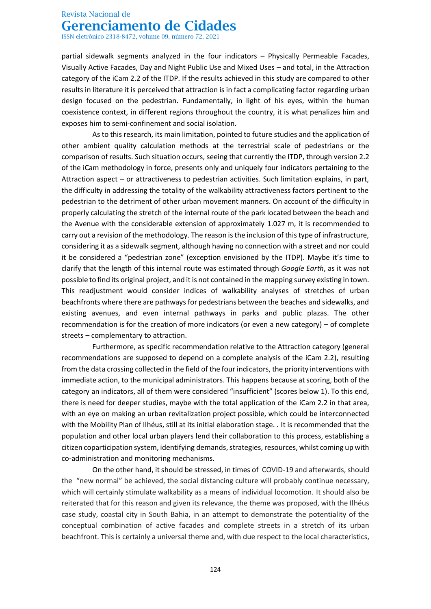ISSN eletrônico 2318-8472, volume 09, número 72, 2021

partial sidewalk segments analyzed in the four indicators – Physically Permeable Facades, Visually Active Facades, Day and Night Public Use and Mixed Uses – and total, in the Attraction category of the iCam 2.2 of the ITDP. If the results achieved in this study are compared to other results in literature it is perceived that attraction is in fact a complicating factor regarding urban design focused on the pedestrian. Fundamentally, in light of his eyes, within the human coexistence context, in different regions throughout the country, it is what penalizes him and exposes him to semi-confinement and social isolation.

As to this research, its main limitation, pointed to future studies and the application of other ambient quality calculation methods at the terrestrial scale of pedestrians or the comparison of results. Such situation occurs, seeing that currently the ITDP, through version 2.2 of the iCam methodology in force, presents only and uniquely four indicators pertaining to the Attraction aspect – or attractiveness to pedestrian activities. Such limitation explains, in part, the difficulty in addressing the totality of the walkability attractiveness factors pertinent to the pedestrian to the detriment of other urban movement manners. On account of the difficulty in properly calculating the stretch of the internal route of the park located between the beach and the Avenue with the considerable extension of approximately 1.027 m, it is recommended to carry out a revision of the methodology. The reason is the inclusion of this type of infrastructure, considering it as a sidewalk segment, although having no connection with a street and nor could it be considered a "pedestrian zone" (exception envisioned by the ITDP). Maybe it's time to clarify that the length of this internal route was estimated through *Google Earth*, as it was not possible to find its original project, and it is not contained in the mapping survey existing in town. This readjustment would consider indices of walkability analyses of stretches of urban beachfronts where there are pathways for pedestrians between the beaches and sidewalks, and existing avenues, and even internal pathways in parks and public plazas. The other recommendation is for the creation of more indicators (or even a new category) – of complete streets – complementary to attraction.

Furthermore, as specific recommendation relative to the Attraction category (general recommendations are supposed to depend on a complete analysis of the iCam 2.2), resulting from the data crossing collected in the field of the four indicators, the priority interventions with immediate action, to the municipal administrators. This happens because at scoring, both of the category an indicators, all of them were considered "insufficient" (scores below 1). To this end, there is need for deeper studies, maybe with the total application of the iCam 2.2 in that area, with an eye on making an urban revitalization project possible, which could be interconnected with the Mobility Plan of Ilhéus, still at its initial elaboration stage. . It is recommended that the population and other local urban players lend their collaboration to this process, establishing a citizen coparticipation system, identifying demands, strategies, resources, whilst coming up with co-administration and monitoring mechanisms.

On the other hand, it should be stressed, in times of COVID-19 and afterwards, should the "new normal" be achieved, the social distancing culture will probably continue necessary, which will certainly stimulate walkability as a means of individual locomotion. It should also be reiterated that for this reason and given its relevance, the theme was proposed, with the Ilhéus case study, coastal city in South Bahia, in an attempt to demonstrate the potentiality of the conceptual combination of active facades and complete streets in a stretch of its urban beachfront. This is certainly a universal theme and, with due respect to the local characteristics,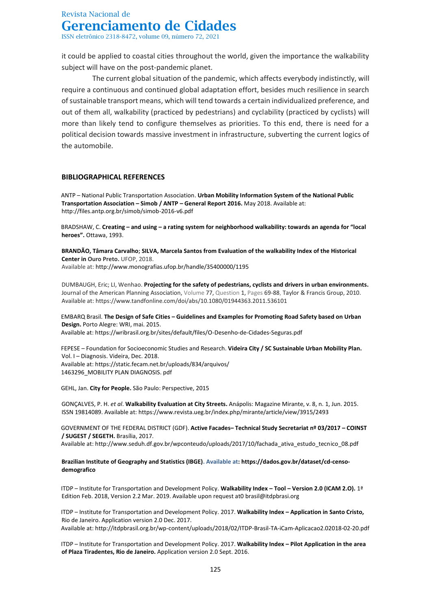it could be applied to coastal cities throughout the world, given the importance the walkability subject will have on the post-pandemic planet.

The current global situation of the pandemic, which affects everybody indistinctly, will require a continuous and continued global adaptation effort, besides much resilience in search of sustainable transport means, which will tend towards a certain individualized preference, and out of them all, walkability (practiced by pedestrians) and cyclability (practiced by cyclists) will more than likely tend to configure themselves as priorities. To this end, there is need for a political decision towards massive investment in infrastructure, subverting the current logics of the automobile.

#### **BIBLIOGRAPHICAL REFERENCES**

ANTP – National Public Transportation Association. **Urban Mobility Information System of the National Public Transportation Association – Simob / ANTP – General Report 2016.** May 2018. Available at: <http://files.antp.org.br/simob/simob-2016-v6.pdf>

BRADSHAW, C. **Creating – and using – a rating system for neighborhood walkability: towards an agenda for "local heroes".** Ottawa, 1993.

**[BRANDÃO, Tâmara Carvalho;](https://www.monografias.ufop.br/browse?type=author&value=Brand%C3%A3o%2C+T%C3%A2mara+Carvalho) [SILVA, Marcela Santos from E](https://www.monografias.ufop.br/browse?type=author&value=Silva%2C+Marcela+Santos+da)valuation of the walkability Index of the Historical Center in Ouro Preto.** UFOP, 2018. Available at[: http://www.monografias.ufop.br/handle/35400000/1195](http://www.monografias.ufop.br/handle/35400000/1195)

DUMBAUGH, Eric; LI, Wenhao. **Projecting for the safety [of pedestrians, cyclists and drivers in urban environments.](https://www.tandfonline.com/doi/abs/10.1080/01944363.2011.536101)**  Journal of the American Planning Association, Volume 77, Question 1, Pages 69-88, Taylor & Francis Group, 2010. [A](http://www.monografias.ufop.br/handle/35400000/1195)vailable at: https://www.tandfonline.com/doi/abs/10.1080/01944363.2011.536101

EMBARQ Brasil. **The Design of Safe Cities – Guidelines and Examples for Promoting Road Safety based on Urban Design.** Porto Alegre: WRI, mai. 2015. Available at: https://wribrasil.org.br/sites/default/files/O-Desenho-de-Cidades-Seguras.pdf

FEPESE – Foundation for Socioeconomic Studies and Research. **Videira City / SC Sustainable Urban Mobility Plan.** Vol. I – Diagnosis. Videira, Dec. 2018. Available at: https://static.fecam.net.br/uploads/834/arquivos/ 1463296\_MOBILITY PLAN DIAGNOSIS. pdf

GEHL, Jan. **City for People.** São Paulo: Perspective, 2015

GONÇALVES, P. H. *et al*. **Walkability Evaluation at City Streets.** Anápolis: Magazine Mirante, v. 8, n. 1, Jun. 2015. ISSN 19814089. Available at: https://www.revista.ueg.br/index.php/mirante/article/view/3915/2493

GOVERNMENT OF THE FEDERAL DISTRICT (GDF). **Active Facades– Technical Study Secretariat nº 03/2017 – COINST / SUGEST / SEGETH.** Brasília, 2017.

Available at[: http://www.seduh.df.gov.br/wpconteudo/uploads/2017/10/fachada\\_ativa\\_estudo\\_tecnico\\_08.pdf](http://www.seduh.df.gov.br/wpconteudo/uploads/2017/10/fachada_ativa_estudo_tecnico_08.pdf)

#### **Brazilian Institute of Geography and Statistics (IBGE). Available at: https://dados.gov.br/dataset/cd-censodemografico**

ITDP – Institute for Transportation and Development Policy. **Walkability Index – Tool – Version 2.0 (ICAM 2.O).** 1ª Edition Feb. 2018, Version 2.2 Mar. 2019. Available upon request at0 brasil@itdpbrasi.org

ITDP – Institute for Transportation and Development Policy. 2017. **Walkability Index – Application in Santo Cristo,**  Rio de Janeiro. Application version 2.0 Dec. 2017. Available at: http://itdpbrasil.org.br/wp-content/uploads/2018/02/ITDP-Brasil-TA-iCam-Aplicacao2.02018-02-20.pdf

ITDP – Institute for Transportation and Development Policy. 2017. **Walkability Index – Pilot Application in the area of Plaza Tiradentes, Rio de Janeiro.** Application version 2.0 Sept. 2016.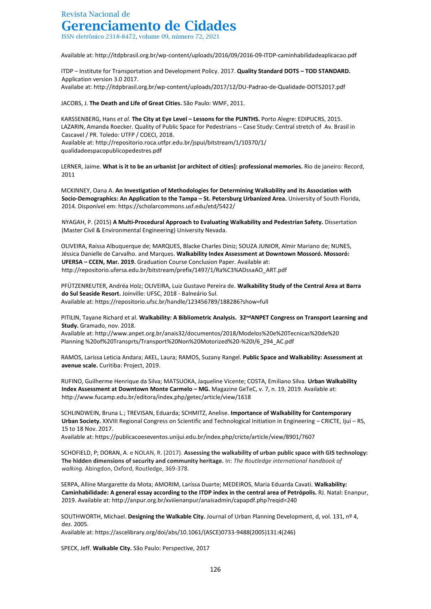Available at: http://itdpbrasil.org.br/wp-content/uploads/2016/09/2016-09-ITDP-caminhabilidadeaplicacao.pdf

ITDP – Institute for Transportation and Development Policy. 2017. **Quality Standard DOTS – TOD STANDARD.**  Application version 3.0 2017. Availabe at: http://itdpbrasil.org.br/wp-content/uploads/2017/12/DU-Padrao-de-Qualidade-DOTS2017.pdf

JACOBS, J. **The Death and Life of Great Cities.** São Paulo: WMF, 2011.

KARSSENBERG, Hans *et al*. **The City at Eye Level – Lessons for the PLINTHS.** Porto Alegre: EDIPUCRS, 2015. LAZARIN, Amanda Roecker. Quality of Public Space for Pedestrians – Case Study: Central stretch of Av. Brasil in Cascavel / PR. Toledo: UTFP / COECI, 2018. Available at: http://repositorio.roca.utfpr.edu.br/jspui/bitstream/1/10370/1/ qualidadeespacopublicopedestres.pdf

LERNER, Jaime. **What is it to be an urbanist [or architect of cities]: professional memories.** Rio de janeiro: Record, 2011

MCKINNEY, Oana A. **An Investigation of Methodologies for Determining Walkability and its Association with Socio-Demographics: An Application to the Tampa – St. Petersburg Urbanized Area.** University of South Florida, 2014. Disponível em: https://scholarcommons.usf.edu/etd/5422/

NYAGAH, P. (2015) **A Multi-Procedural Approach to Evaluating Walkability and Pedestrian Safety.** Dissertation (Master Civil & Environmental Engineering) University Nevada.

OLIVEIRA, Raíssa Albuquerque de; MARQUES, Blacke Charles Diniz; SOUZA JUNIOR, Almir Mariano de; NUNES, Jéssica Danielle de Carvalho. and Marques. **Walkability Index Assessment at Downtown Mossoró. Mossoró: UFERSA – CCEN, Mar. 2019.** Graduation Course Conclusion Paper. Available at: http://repositorio.ufersa.edu.br/bitstream/prefix/1497/1/Ra%C3%ADssaAO\_ART.pdf

PFÜTZENREUTER, Andréa Holz; OLIVEIRA, Luiz Gustavo Pereira de. **Walkability Study of the Central Area at Barra do Sul Seaside Resort.** Joinville: UFSC, 2018 - Balneário Sul. Available at: https://repositorio.ufsc.br/handle/123456789/188286?show=full

PITILIN, Tayane Richard et al. **Walkability: A Bibliometric Analysis. 32ndANPET Congress on Transport Learning and Study.** Gramado, nov. 2018.

Available at: http://www.anpet.org.br/anais32/documentos/2018/Modelos%20e%20Tecnicas%20de%20 Planning %20of%20Transprts/Transport%20Non%20Motorized%20-%20I/6\_294\_AC.pdf

RAMOS, Larissa Leticia Andara; AKEL, Laura; RAMOS, Suzany Rangel. **Public Space and Walkability: Assessment at avenue scale.** Curitiba: Project, 2019.

RUFINO, Guilherme Henrique da Silva; MATSUOKA, Jaqueline Vicente; COSTA, Emiliano Silva. **Urban Walkability Index Assessment at Downtown Monte Carmelo – MG.** Magazine GeTeC, v. 7, n. 19, 2019. Available at: http://www.fucamp.edu.br/editora/index.php/getec/article/view/1618

SCHLINDWEIN, Bruna L.; TREVISAN, Eduarda; SCHMITZ, Anelise. **Importance of Walkability for Contemporary Urban Society.** XXVIII Regional Congress on Scientific and Technological Initiation in Engineering – CRICTE, Ijuí – RS, 15 to 18 Nov. 2017.

Available at: https://publicacoeseventos.unijui.edu.br/index.php/cricte/article/view/8901/7607

[SCHOFIELD, P;](http://orcid.org/0000-0002-9109-7674) [DORAN, A.](http://orcid.org/0000-0002-4964-6908) e NOLAN, R. (2017). **Assessing the walkability of urban public space with GIS technology: The hidden dimensions of security and community heritage.** In: *The Routledge international handbook of walking.* Abingdon, Oxford, Routledge, 369-378.

SERPA, Alline Margarette da Mota; AMORIM, Laríssa Duarte; MEDEIROS, Maria Eduarda Cavati. **Walkability: Caminhabilidade: A general essay according to the ITDP index in the central area of Petrópolis.** RJ. Natal: Enanpur, 2019. Available at: http://anpur.org.br/xviiienanpur/anaisadmin/capapdf.php?reqid=240

SOUTHWORTH, Michael. **Designing the Walkable City.** Journal of Urban Planning Development, d, vol. 131, nº 4, dez. 2005.

Available at: https://ascelibrary.org/doi/abs/10.1061/(ASCE)0733-9488(2005)131:4(246)

SPECK, Jeff. **Walkable City.** São Paulo: Perspective, 2017